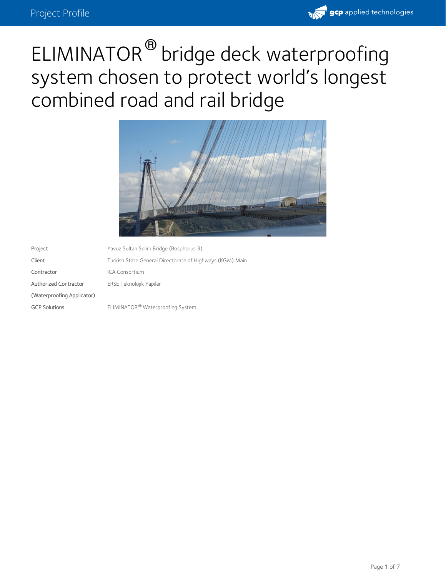

# ELIMINATOR<sup>®</sup> bridge deck waterproofing system chosen to protect world's longest combined road and rail bridge



Project Yavuz Sultan Selim Bridge (Bosphorus 3) Client Turkish State General Directorate of Highways (KGM) Main Contractor ICA Consortium Authorized Contractor (Waterproofing Applicator) ERSE Teknolojik Yapilar GCP Solutions **ELIMINATOR<sup>®</sup> Waterproofing System**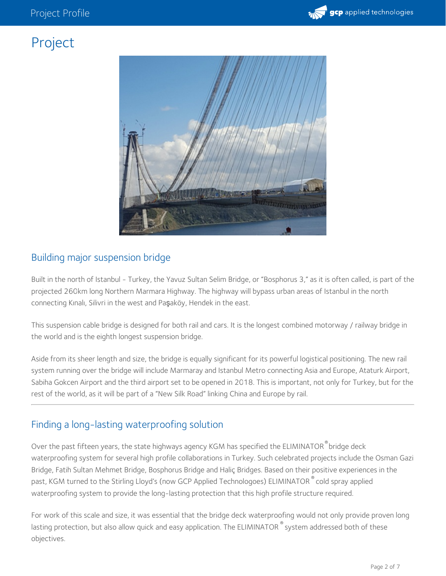

## Project



#### Building major suspension bridge

Built in the north of Istanbul - Turkey, the Yavuz Sultan Selim Bridge, or "Bosphorus 3," as it is often called, is part of the projected 260km long Northern Marmara Highway. The highway will bypass urban areas of Istanbul in the north connecting Kınalı, Silivri in the west and Paşaköy, Hendek in the east.

This suspension cable bridge is designed for both rail and cars. It is the longest combined motorway / railway bridge in the world and is the eighth longest suspension bridge.

Aside from its sheer length and size, the bridge is equally significant for its powerful logistical positioning. The new rail system running over the bridge will include Marmaray and Istanbul Metro connecting Asia and Europe, Ataturk Airport, Sabiha Gokcen Airport and the third airport set to be opened in 2018. This is important, not only for Turkey, but for the rest of the world, as it will be part of a "New Silk Road" linking China and Europe by rail.

#### Finding a long-lasting waterproofing solution

Over the past fifteen years, the state highways agency KGM has specified the ELIMINATOR $\degree$ bridge deck waterproofing system for several high profile collaborations in Turkey. Such celebrated projects include the Osman Gazi Bridge, Fatih Sultan Mehmet Bridge, Bosphorus Bridge and Haliç Bridges. Based on their positive experiences in the past, KGM turned to the Stirling Lloyd's (now GCP Applied Technologoes) ELIMINATOR  $^\circ$  cold spray applied waterproofing system to provide the long-lasting protection that this high profile structure required.

For work of this scale and size, it was essential that the bridge deck waterproofing would not only provide proven long lasting protection, but also allow quick and easy application. The ELIMINATOR  $^\circ$  system addressed both of these objectives.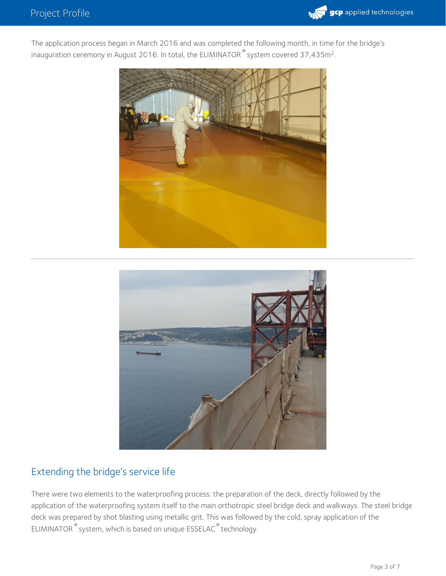

The application process began in March 2016 and was completed the following month, in time for the bridge's inauguration ceremony in August 2016. In total, the ELIMINATOR  $^\circ$  system covered 37,435m<sup>2</sup>.





#### Extending the bridge's service life

There were two elements to the waterproofing process: the preparation of the deck, directly followed by the application of the waterproofing system itself to the main orthotropic steel bridge deck and walkways. The steel bridge deck was prepared by shot blasting using metallic grit. This was followed by the cold, spray application of the  $ELIMINATOR$   $\degree$  system, which is based on unique  $ESSELAC$   $\degree$  technology.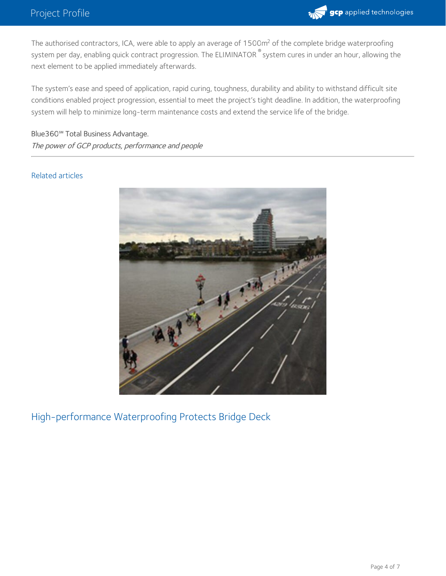

The authorised contractors, ICA, were able to apply an average of 1500m<sup>2</sup> of the complete bridge waterproofing system per day, enabling quick contract progression. The ELIMINATOR  $^\circ$  system cures in under an hour, allowing the next element to be applied immediately afterwards.

The system's ease and speed of application, rapid curing, toughness, durability and ability to withstand difficult site conditions enabled project progression, essential to meet the project's tight deadline. In addition, the waterproofing system will help to minimize long-term maintenance costs and extend the service life of the bridge.

Blue360**℠** Total Business Advantage. The power of GCP products, performance and people

#### Related articles



High-performance Waterproofing Protects Bridge Deck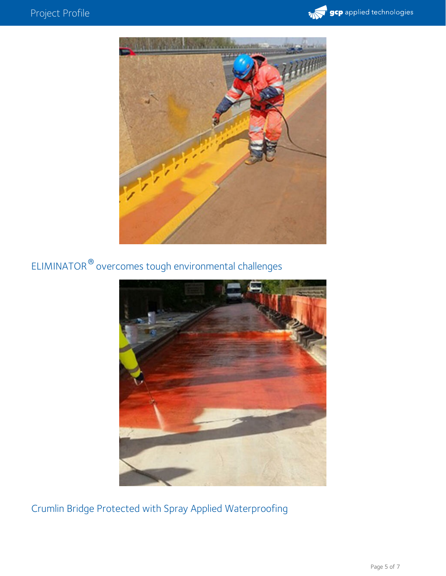



ELIMINATOR  $^\circledR$  overcomes tough environmental challenges



Crumlin Bridge Protected with Spray Applied Waterproofing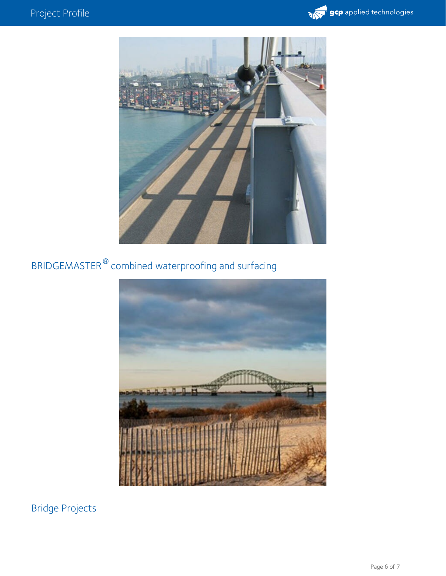



### BRIDGEMASTER  $^\circledR$  combined waterproofing and surfacing



Bridge Projects